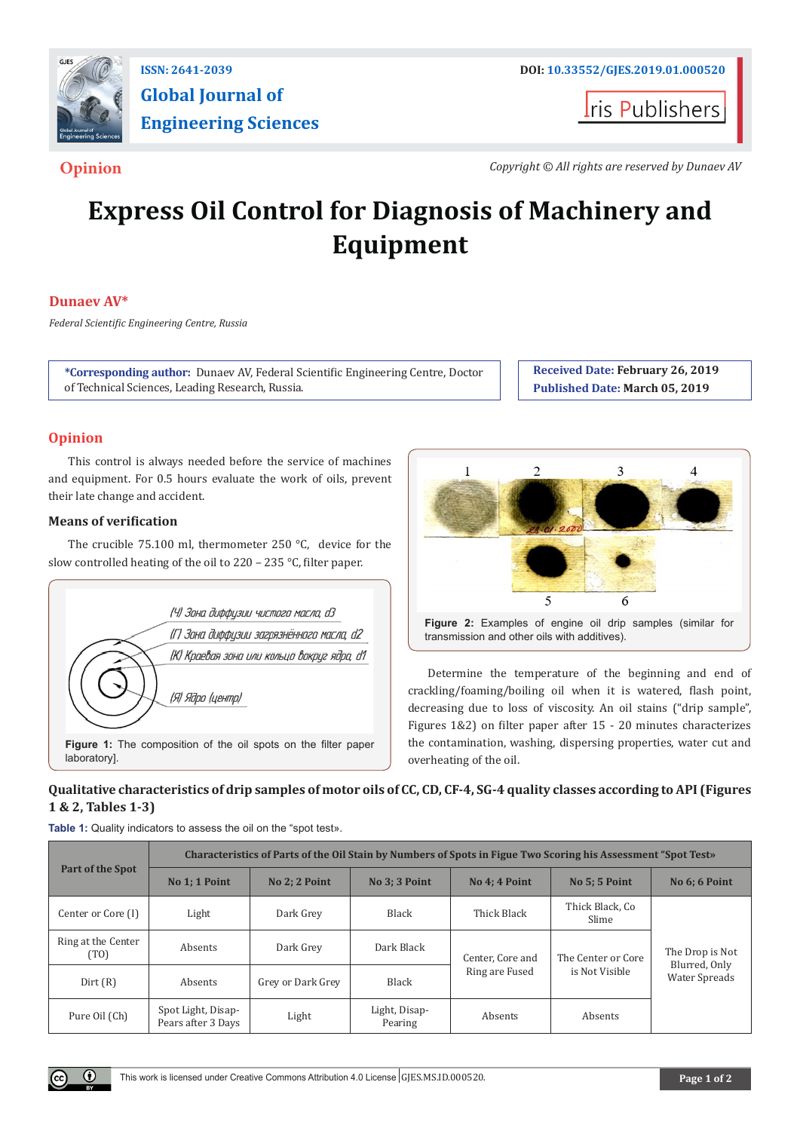

# **Global Journal of Engineering Sciences**

**I**ris Publishers

**Opinion** *Copyright © All rights are reserved by Dunaev AV*

## **Express Oil Control for Diagnosis of Machinery and Equipment**

#### **Dunaev AV\***

*Federal Scientific Engineering Centre, Russia*

**\*Corresponding author:** Dunaev AV, Federal Scientific Engineering Centre, Doctor of Technical Sciences, Leading Research, Russia.

**Received Date: February 26, 2019 Published Date: March 05, 2019**

#### **Opinion**

This control is always needed before the service of machines and equipment. For 0.5 hours evaluate the work of oils, prevent their late change and accident.

#### **Means of verification**

The crucible 75.100 ml, thermometer 250 °С, device for the slow controlled heating of the oil to 220 – 235 °С, filter paper.





Determine the temperature of the beginning and end of crackling/foaming/boiling oil when it is watered, flash point, decreasing due to loss of viscosity. An oil stains ("drip sample", Figures 1&2) on filter paper after 15 - 20 minutes characterizes the contamination, washing, dispersing properties, water cut and overheating of the oil.

### **Qualitative characteristics of drip samples of motor oils of CC, CD, CF-4, SG-4 quality classes according to API (Figures 1 & 2, Tables 1-3)**

| Table 1: Quality indicators to assess the oil on the "spot test». |
|-------------------------------------------------------------------|
|-------------------------------------------------------------------|

| Part of the Spot                        | Characteristics of Parts of the Oil Stain by Numbers of Spots in Figue Two Scoring his Assessment "Spot Test» |                   |                          |                  |                                      |                                                          |  |  |
|-----------------------------------------|---------------------------------------------------------------------------------------------------------------|-------------------|--------------------------|------------------|--------------------------------------|----------------------------------------------------------|--|--|
|                                         | No 1: 1 Point                                                                                                 | No 2: 2 Point     | No 3: 3 Point            | No 4: 4 Point    | <b>No 5: 5 Point</b>                 | No 6: 6 Point                                            |  |  |
| Center or Core (I)                      | Light                                                                                                         | Dark Grey         | Black                    | Thick Black      | Thick Black, Co<br>Slime             |                                                          |  |  |
| Ring at the Center<br>(T <sub>O</sub> ) | Absents                                                                                                       | Dark Grey         | Dark Black               | Center, Core and | The Center or Core<br>is Not Visible | The Drop is Not<br>Blurred, Only<br><b>Water Spreads</b> |  |  |
| Dirt(R)                                 | Absents                                                                                                       | Grey or Dark Grey | Black                    | Ring are Fused   |                                      |                                                          |  |  |
| Pure Oil (Ch)                           | Spot Light, Disap-<br>Pears after 3 Days                                                                      | Light             | Light, Disap-<br>Pearing | Absents          | Absents                              |                                                          |  |  |